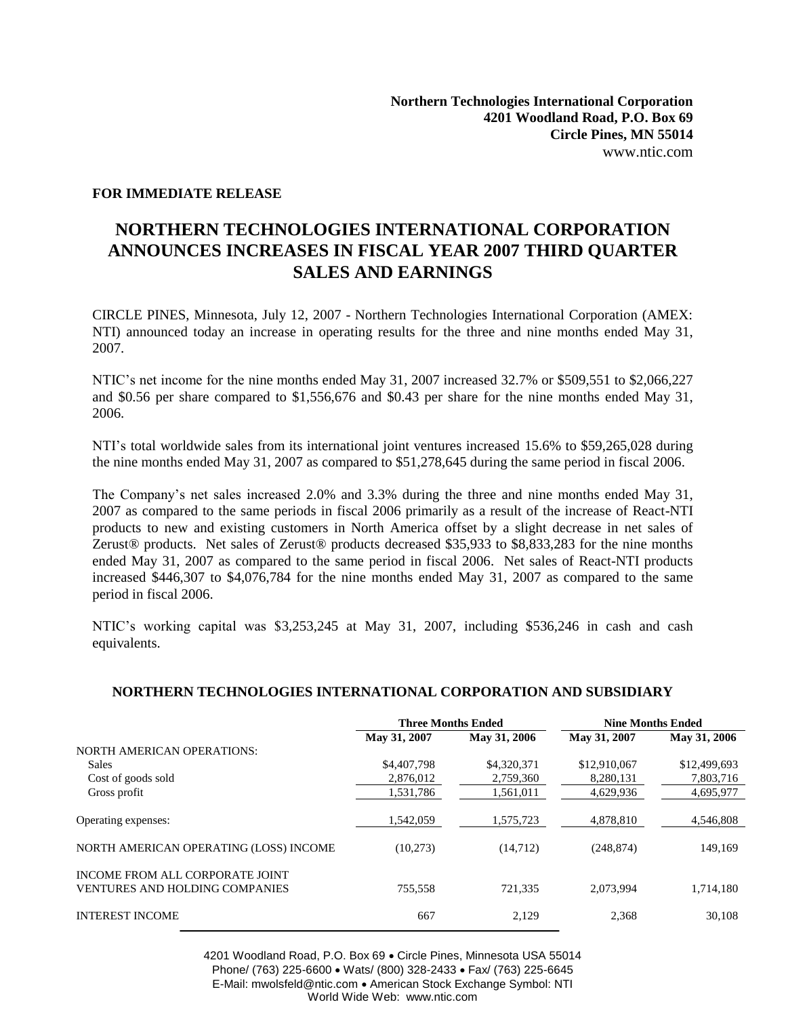## **FOR IMMEDIATE RELEASE**

## **NORTHERN TECHNOLOGIES INTERNATIONAL CORPORATION ANNOUNCES INCREASES IN FISCAL YEAR 2007 THIRD QUARTER SALES AND EARNINGS**

CIRCLE PINES, Minnesota, July 12, 2007 - Northern Technologies International Corporation (AMEX: NTI) announced today an increase in operating results for the three and nine months ended May 31, 2007.

NTIC's net income for the nine months ended May 31, 2007 increased 32.7% or \$509,551 to \$2,066,227 and \$0.56 per share compared to \$1,556,676 and \$0.43 per share for the nine months ended May 31, 2006.

NTI's total worldwide sales from its international joint ventures increased 15.6% to \$59,265,028 during the nine months ended May 31, 2007 as compared to \$51,278,645 during the same period in fiscal 2006.

The Company's net sales increased 2.0% and 3.3% during the three and nine months ended May 31, 2007 as compared to the same periods in fiscal 2006 primarily as a result of the increase of React-NTI products to new and existing customers in North America offset by a slight decrease in net sales of Zerust® products. Net sales of Zerust® products decreased \$35,933 to \$8,833,283 for the nine months ended May 31, 2007 as compared to the same period in fiscal 2006. Net sales of React-NTI products increased \$446,307 to \$4,076,784 for the nine months ended May 31, 2007 as compared to the same period in fiscal 2006.

NTIC's working capital was \$3,253,245 at May 31, 2007, including \$536,246 in cash and cash equivalents.

## **NORTHERN TECHNOLOGIES INTERNATIONAL CORPORATION AND SUBSIDIARY**

|                                                                          | <b>Three Months Ended</b> |              | <b>Nine Months Ended</b> |              |
|--------------------------------------------------------------------------|---------------------------|--------------|--------------------------|--------------|
|                                                                          | May 31, 2007              | May 31, 2006 | May 31, 2007             | May 31, 2006 |
| <b>NORTH AMERICAN OPERATIONS:</b>                                        |                           |              |                          |              |
| <b>Sales</b>                                                             | \$4,407,798               | \$4,320,371  | \$12,910,067             | \$12,499,693 |
| Cost of goods sold                                                       | 2,876,012                 | 2,759,360    | 8,280,131                | 7,803,716    |
| Gross profit                                                             | 1,531,786                 | 1,561,011    | 4,629,936                | 4,695,977    |
| Operating expenses:                                                      | 1,542,059                 | 1,575,723    | 4,878,810                | 4,546,808    |
| NORTH AMERICAN OPERATING (LOSS) INCOME                                   | (10,273)                  | (14,712)     | (248, 874)               | 149,169      |
| INCOME FROM ALL CORPORATE JOINT<br><b>VENTURES AND HOLDING COMPANIES</b> | 755,558                   | 721,335      | 2,073,994                | 1,714,180    |
| <b>INTEREST INCOME</b>                                                   | 667                       | 2.129        | 2,368                    | 30.108       |

4201 Woodland Road, P.O. Box 69 Circle Pines, Minnesota USA 55014 Phone/ (763) 225-6600 • Wats/ (800) 328-2433 • Fax/ (763) 225-6645 E-Mail: mwolsfeld@ntic.com • American Stock Exchange Symbol: NTI World Wide Web: www.ntic.com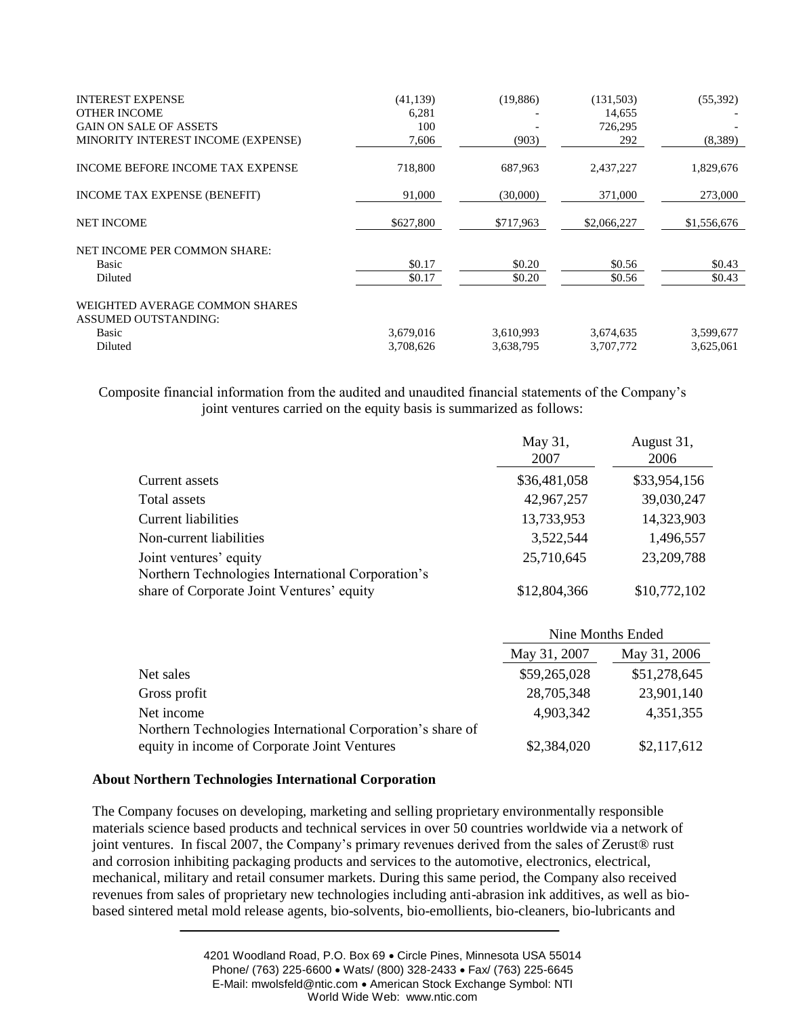| <b>INTEREST EXPENSE</b><br><b>OTHER INCOME</b>         | (41, 139)<br>6,281 | (19,886)  | (131,503)<br>14,655 | (55,392)    |
|--------------------------------------------------------|--------------------|-----------|---------------------|-------------|
| <b>GAIN ON SALE OF ASSETS</b>                          | 100                |           | 726,295             |             |
| MINORITY INTEREST INCOME (EXPENSE)                     | 7,606              | (903)     | 292                 | (8,389)     |
| INCOME BEFORE INCOME TAX EXPENSE                       | 718,800            | 687,963   | 2,437,227           | 1,829,676   |
| INCOME TAX EXPENSE (BENEFIT)                           | 91,000             | (30,000)  | 371,000             | 273,000     |
| <b>NET INCOME</b>                                      | \$627,800          | \$717,963 | \$2,066,227         | \$1,556,676 |
| NET INCOME PER COMMON SHARE:                           |                    |           |                     |             |
| Basic                                                  | \$0.17             | \$0.20    | \$0.56              | \$0.43      |
| Diluted                                                | \$0.17             | \$0.20    | \$0.56              | \$0.43      |
| WEIGHTED AVERAGE COMMON SHARES<br>ASSUMED OUTSTANDING: |                    |           |                     |             |
| Basic                                                  | 3,679,016          | 3,610,993 | 3,674,635           | 3,599,677   |
| Diluted                                                | 3,708,626          | 3,638,795 | 3,707,772           | 3,625,061   |

Composite financial information from the audited and unaudited financial statements of the Company's joint ventures carried on the equity basis is summarized as follows:

|                                                   | May 31,<br>2007 | August 31,<br>2006 |
|---------------------------------------------------|-----------------|--------------------|
| Current assets                                    | \$36,481,058    | \$33,954,156       |
| Total assets                                      | 42,967,257      | 39,030,247         |
| Current liabilities                               | 13,733,953      | 14,323,903         |
| Non-current liabilities                           | 3,522,544       | 1,496,557          |
| Joint ventures' equity                            | 25,710,645      | 23,209,788         |
| Northern Technologies International Corporation's |                 |                    |
| share of Corporate Joint Ventures' equity         | \$12,804,366    | \$10,772,102       |

|                                                            | Nine Months Ended |              |  |
|------------------------------------------------------------|-------------------|--------------|--|
|                                                            | May 31, 2007      | May 31, 2006 |  |
| Net sales                                                  | \$59,265,028      | \$51,278,645 |  |
| Gross profit                                               | 28,705,348        | 23,901,140   |  |
| Net income                                                 | 4,903,342         | 4,351,355    |  |
| Northern Technologies International Corporation's share of |                   |              |  |
| equity in income of Corporate Joint Ventures               | \$2,384,020       | \$2,117,612  |  |

## **About Northern Technologies International Corporation**

The Company focuses on developing, marketing and selling proprietary environmentally responsible materials science based products and technical services in over 50 countries worldwide via a network of joint ventures. In fiscal 2007, the Company's primary revenues derived from the sales of Zerust® rust and corrosion inhibiting packaging products and services to the automotive, electronics, electrical, mechanical, military and retail consumer markets. During this same period, the Company also received revenues from sales of proprietary new technologies including anti-abrasion ink additives, as well as biobased sintered metal mold release agents, bio-solvents, bio-emollients, bio-cleaners, bio-lubricants and